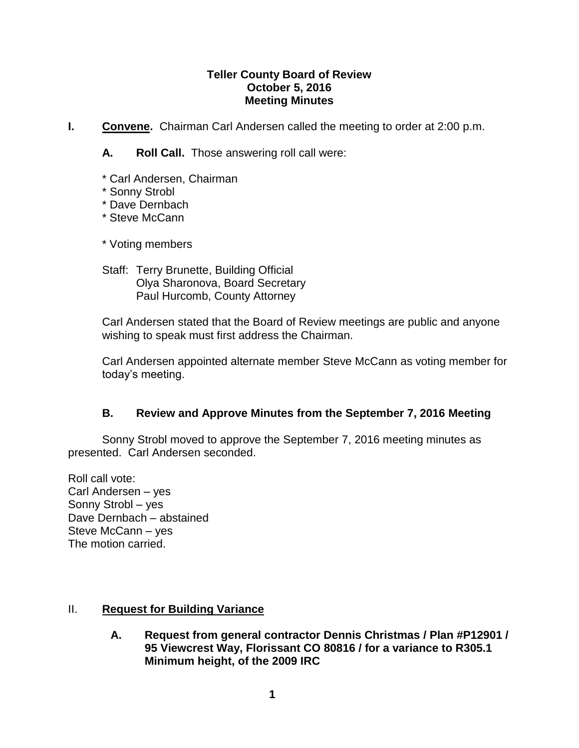#### **Teller County Board of Review October 5, 2016 Meeting Minutes**

- **I. Convene.** Chairman Carl Andersen called the meeting to order at 2:00 p.m.
	- **A. Roll Call.** Those answering roll call were:
	- \* Carl Andersen, Chairman
	- \* Sonny Strobl
	- \* Dave Dernbach
	- \* Steve McCann

\* Voting members

Staff: Terry Brunette, Building Official Olya Sharonova, Board Secretary Paul Hurcomb, County Attorney

Carl Andersen stated that the Board of Review meetings are public and anyone wishing to speak must first address the Chairman.

Carl Andersen appointed alternate member Steve McCann as voting member for today's meeting.

# **B. Review and Approve Minutes from the September 7, 2016 Meeting**

Sonny Strobl moved to approve the September 7, 2016 meeting minutes as presented. Carl Andersen seconded.

Roll call vote: Carl Andersen – yes Sonny Strobl – yes Dave Dernbach – abstained Steve McCann – yes The motion carried.

# II. **Request for Building Variance**

**A. Request from general contractor Dennis Christmas / Plan #P12901 / 95 Viewcrest Way, Florissant CO 80816 / for a variance to R305.1 Minimum height, of the 2009 IRC**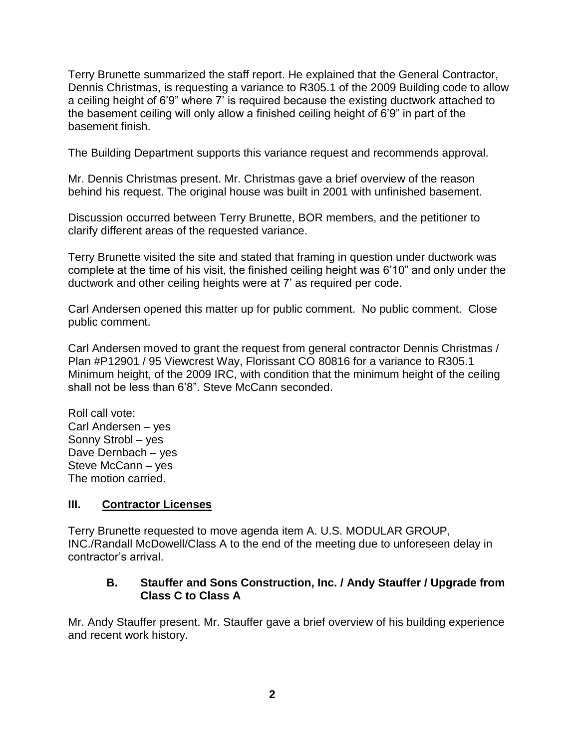Terry Brunette summarized the staff report. He explained that the General Contractor, Dennis Christmas, is requesting a variance to R305.1 of the 2009 Building code to allow a ceiling height of 6'9" where 7' is required because the existing ductwork attached to the basement ceiling will only allow a finished ceiling height of 6'9" in part of the basement finish.

The Building Department supports this variance request and recommends approval.

Mr. Dennis Christmas present. Mr. Christmas gave a brief overview of the reason behind his request. The original house was built in 2001 with unfinished basement.

Discussion occurred between Terry Brunette, BOR members, and the petitioner to clarify different areas of the requested variance.

Terry Brunette visited the site and stated that framing in question under ductwork was complete at the time of his visit, the finished ceiling height was 6'10" and only under the ductwork and other ceiling heights were at 7' as required per code.

Carl Andersen opened this matter up for public comment. No public comment. Close public comment.

Carl Andersen moved to grant the request from general contractor Dennis Christmas / Plan #P12901 / 95 Viewcrest Way, Florissant CO 80816 for a variance to R305.1 Minimum height, of the 2009 IRC, with condition that the minimum height of the ceiling shall not be less than 6'8". Steve McCann seconded.

Roll call vote: Carl Andersen – yes Sonny Strobl – yes Dave Dernbach – yes Steve McCann – yes The motion carried.

# **III. Contractor Licenses**

Terry Brunette requested to move agenda item A. U.S. MODULAR GROUP, INC./Randall McDowell/Class A to the end of the meeting due to unforeseen delay in contractor's arrival.

## **B. Stauffer and Sons Construction, Inc. / Andy Stauffer / Upgrade from Class C to Class A**

Mr. Andy Stauffer present. Mr. Stauffer gave a brief overview of his building experience and recent work history.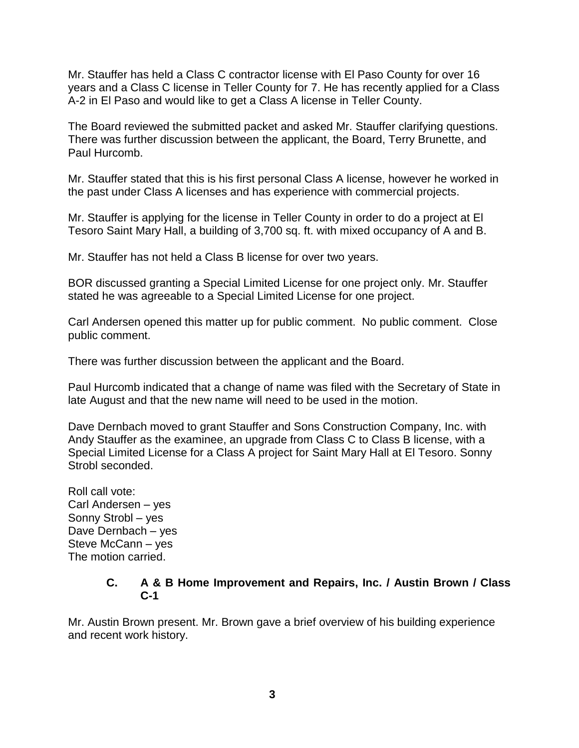Mr. Stauffer has held a Class C contractor license with El Paso County for over 16 years and a Class C license in Teller County for 7. He has recently applied for a Class A-2 in El Paso and would like to get a Class A license in Teller County.

The Board reviewed the submitted packet and asked Mr. Stauffer clarifying questions. There was further discussion between the applicant, the Board, Terry Brunette, and Paul Hurcomb.

Mr. Stauffer stated that this is his first personal Class A license, however he worked in the past under Class A licenses and has experience with commercial projects.

Mr. Stauffer is applying for the license in Teller County in order to do a project at El Tesoro Saint Mary Hall, a building of 3,700 sq. ft. with mixed occupancy of A and B.

Mr. Stauffer has not held a Class B license for over two years.

BOR discussed granting a Special Limited License for one project only. Mr. Stauffer stated he was agreeable to a Special Limited License for one project.

Carl Andersen opened this matter up for public comment. No public comment. Close public comment.

There was further discussion between the applicant and the Board.

Paul Hurcomb indicated that a change of name was filed with the Secretary of State in late August and that the new name will need to be used in the motion.

Dave Dernbach moved to grant Stauffer and Sons Construction Company, Inc. with Andy Stauffer as the examinee, an upgrade from Class C to Class B license, with a Special Limited License for a Class A project for Saint Mary Hall at El Tesoro. Sonny Strobl seconded.

Roll call vote: Carl Andersen – yes Sonny Strobl – yes Dave Dernbach – yes Steve McCann – yes The motion carried.

## **C. A & B Home Improvement and Repairs, Inc. / Austin Brown / Class C-1**

Mr. Austin Brown present. Mr. Brown gave a brief overview of his building experience and recent work history.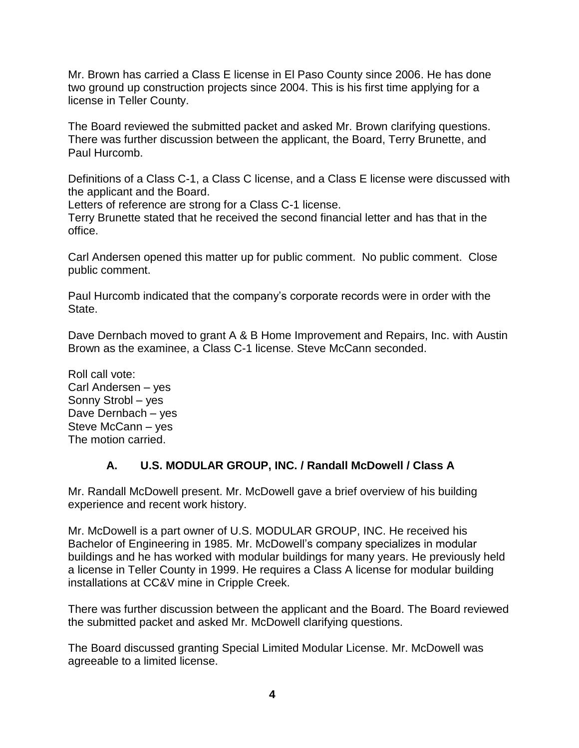Mr. Brown has carried a Class E license in El Paso County since 2006. He has done two ground up construction projects since 2004. This is his first time applying for a license in Teller County.

The Board reviewed the submitted packet and asked Mr. Brown clarifying questions. There was further discussion between the applicant, the Board, Terry Brunette, and Paul Hurcomb.

Definitions of a Class C-1, a Class C license, and a Class E license were discussed with the applicant and the Board.

Letters of reference are strong for a Class C-1 license.

Terry Brunette stated that he received the second financial letter and has that in the office.

Carl Andersen opened this matter up for public comment. No public comment. Close public comment.

Paul Hurcomb indicated that the company's corporate records were in order with the State.

Dave Dernbach moved to grant A & B Home Improvement and Repairs, Inc. with Austin Brown as the examinee, a Class C-1 license. Steve McCann seconded.

Roll call vote: Carl Andersen – yes Sonny Strobl – yes Dave Dernbach – yes Steve McCann – yes The motion carried.

# **A. U.S. MODULAR GROUP, INC. / Randall McDowell / Class A**

Mr. Randall McDowell present. Mr. McDowell gave a brief overview of his building experience and recent work history.

Mr. McDowell is a part owner of U.S. MODULAR GROUP, INC. He received his Bachelor of Engineering in 1985. Mr. McDowell's company specializes in modular buildings and he has worked with modular buildings for many years. He previously held a license in Teller County in 1999. He requires a Class A license for modular building installations at CC&V mine in Cripple Creek.

There was further discussion between the applicant and the Board. The Board reviewed the submitted packet and asked Mr. McDowell clarifying questions.

The Board discussed granting Special Limited Modular License. Mr. McDowell was agreeable to a limited license.